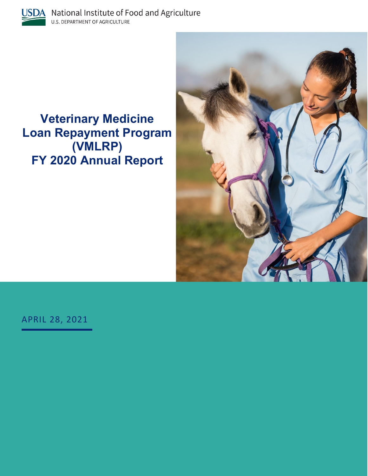

**e Veterinary Medicin gram ort Loan Repayment Pro (VMLRP) FY 2020 Annual Rep**



APRIL 28, 2021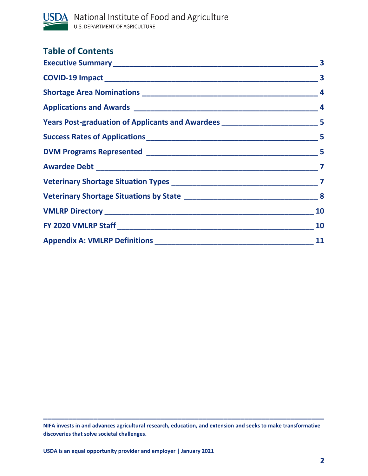

| <b>Table of Contents</b>                                                         |  |
|----------------------------------------------------------------------------------|--|
|                                                                                  |  |
|                                                                                  |  |
|                                                                                  |  |
|                                                                                  |  |
| Years Post-graduation of Applicants and Awardees ______________________________5 |  |
|                                                                                  |  |
|                                                                                  |  |
|                                                                                  |  |
|                                                                                  |  |
|                                                                                  |  |
|                                                                                  |  |
|                                                                                  |  |
|                                                                                  |  |

**\_\_\_\_\_\_\_\_\_\_\_\_\_\_\_\_\_\_\_\_\_\_\_\_\_\_\_\_\_\_\_\_\_\_\_\_\_\_\_\_\_\_\_\_\_\_\_\_\_\_\_\_\_\_\_\_\_\_\_\_\_\_\_\_\_\_\_**

**NIFA invests in and advances agricultural research, education, and extension and seeks to make transformative discoveries that solve societal challenges.**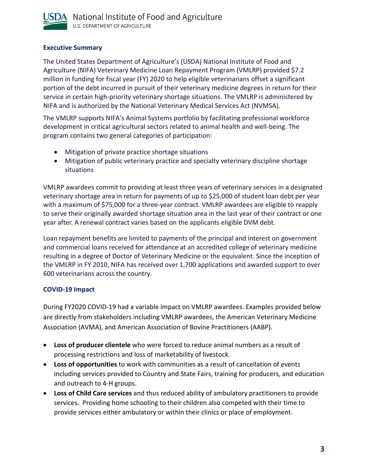

## <span id="page-2-0"></span>**Executive Summary**

The United States Department of Agriculture's (USDA) National Institute of Food and Agriculture (NIFA) Veterinary Medicine Loan Repayment Program (VMLRP) provided \$7.2 million in funding for fiscal year (FY) 2020 to help eligible veterinarians offset a significant portion of the debt incurred in pursuit of their veterinary medicine degrees in return for their service in certain high-priority veterinary shortage situations. The VMLRP is administered by NIFA and is authorized by the National Veterinary Medical Services Act (NVMSA).

The VMLRP supports NIFA's Animal Systems portfolio by facilitating professional workforce development in critical agricultural sectors related to animal health and well-being. The program contains two general categories of participation:

- Mitigation of private practice shortage situations
- Mitigation of public veterinary practice and specialty veterinary discipline shortage situations

VMLRP awardees commit to providing at least three years of veterinary services in a designated veterinary shortage area in return for payments of up to \$25,000 of student loan debt per year with a maximum of \$75,000 for a three-year contract. VMLRP awardees are eligible to reapply to serve their originally awarded shortage situation area in the last year of their contract or one year after. A renewal contract varies based on the applicants eligible DVM debt.

Loan repayment benefits are limited to payments of the principal and interest on government and commercial loans received for attendance at an accredited college of veterinary medicine resulting in a degree of Doctor of Veterinary Medicine or the equivalent. Since the inception of the VMLRP in FY 2010, NIFA has received over 1,700 applications and awarded support to over 600 veterinarians across the country.

## <span id="page-2-1"></span>**COVID-19 Impact**

During FY2020 COVID-19 had a variable impact on VMLRP awardees. Examples provided below are directly from stakeholders including VMLRP awardees, the American Veterinary Medicine Association (AVMA), and American Association of Bovine Practitioners (AABP).

- **Loss of producer clientele** who were forced to reduce animal numbers as a result of processing restrictions and loss of marketability of livestock.
- **Loss of opportunities** to work with communities as a result of cancellation of events including services provided to Country and State Fairs, training for producers, and education and outreach to 4-H groups.
- **Loss of Child Care services** and thus reduced ability of ambulatory practitioners to provide services. Providing home schooling to their children also competed with their time to provide services either ambulatory or within their clinics or place of employment.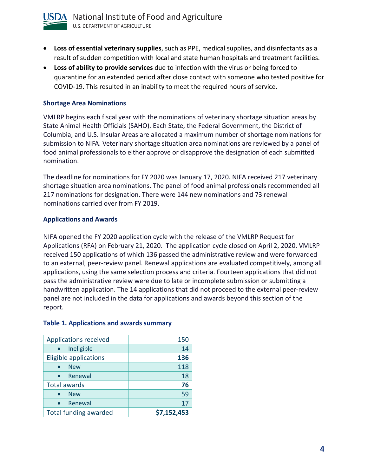

- **Loss of essential veterinary supplies**, such as PPE, medical supplies, and disinfectants as a result of sudden competition with local and state human hospitals and treatment facilities.
- **Loss of ability to provide services** due to infection with the virus or being forced to quarantine for an extended period after close contact with someone who tested positive for COVID-19. This resulted in an inability to meet the required hours of service.

#### <span id="page-3-0"></span>**Shortage Area Nominations**

VMLRP begins each fiscal year with the nominations of veterinary shortage situation areas by State Animal Health Officials (SAHO). Each State, the Federal Government, the District of Columbia, and U.S. Insular Areas are allocated a maximum number of shortage nominations for submission to NIFA. Veterinary shortage situation area nominations are reviewed by a panel of food animal professionals to either approve or disapprove the designation of each submitted nomination.

The deadline for nominations for FY 2020 was January 17, 2020. NIFA received 217 veterinary shortage situation area nominations. The panel of food animal professionals recommended all 217 nominations for designation. There were 144 new nominations and 73 renewal nominations carried over from FY 2019.

### <span id="page-3-1"></span>**Applications and Awards**

NIFA opened the FY 2020 application cycle with the release of the VMLRP Request for Applications (RFA) on February 21, 2020. The application cycle closed on April 2, 2020. VMLRP received 150 applications of which 136 passed the administrative review and were forwarded to an external, peer-review panel. Renewal applications are evaluated competitively, among all applications, using the same selection process and criteria. Fourteen applications that did not pass the administrative review were due to late or incomplete submission or submitting a handwritten application. The 14 applications that did not proceed to the external peer-review panel are not included in the data for applications and awards beyond this section of the report.

| <b>Applications received</b> | 150         |
|------------------------------|-------------|
| Ineligible                   | 14          |
| <b>Eligible applications</b> | 136         |
| <b>New</b>                   | 118         |
| Renewal                      | 18          |
| <b>Total awards</b>          | 76          |
| <b>New</b>                   | 59          |
| Renewal                      | 17          |
| <b>Total funding awarded</b> | \$7,152,453 |

#### **Table 1. Applications and awards summary**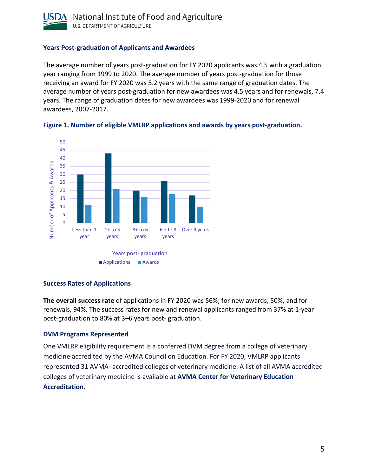

### <span id="page-4-0"></span>**Years Post-graduation of Applicants and Awardees**

The average number of years post-graduation for FY 2020 applicants was 4.5 with a graduation year ranging from 1999 to 2020. The average number of years post-graduation for those receiving an award for FY 2020 was 5.2 years with the same range of graduation dates. The average number of years post-graduation for new awardees was 4.5 years and for renewals, 7.4 years. The range of graduation dates for new awardees was 1999-2020 and for renewal awardees, 2007-2017.





#### <span id="page-4-1"></span>**Success Rates of Applications**

**The overall success rate** of applications in FY 2020 was 56%; for new awards, 50%, and for renewals, 94%. The success rates for new and renewal applicants ranged from 37% at 1-year post-graduation to 80% at 3–6 years post- graduation.

#### <span id="page-4-2"></span>**DVM Programs Represented**

One VMLRP eligibility requirement is a conferred DVM degree from a college of veterinary medicine accredited by the AVMA Council on Education. For FY 2020, VMLRP applicants represented 31 AVMA- accredited colleges of veterinary medicine. A list of all AVMA accredited colleges of veterinary medicine is available at **[AVMA Center for Veterinary Education](https://www.avma.org/education/accredited-veterinary-colleges)  [Accreditation.](https://www.avma.org/education/accredited-veterinary-colleges)**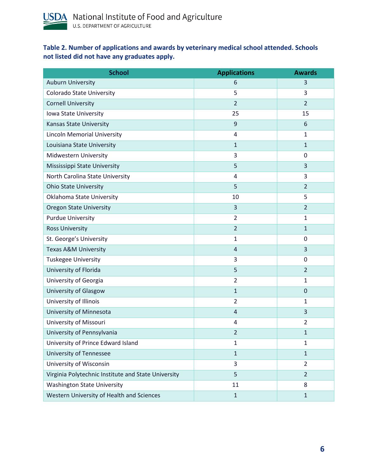

## **Table 2. Number of applications and awards by veterinary medical school attended. Schools not listed did not have any graduates apply.**

| <b>School</b>                                       | <b>Applications</b> | <b>Awards</b>  |
|-----------------------------------------------------|---------------------|----------------|
| <b>Auburn University</b>                            | 6                   | 3              |
| <b>Colorado State University</b>                    | 5                   | 3              |
| <b>Cornell University</b>                           | $\overline{2}$      | $\overline{2}$ |
| Iowa State University                               | 25                  | 15             |
| <b>Kansas State University</b>                      | 9                   | 6              |
| <b>Lincoln Memorial University</b>                  | 4                   | 1              |
| Louisiana State University                          | $\mathbf{1}$        | $\mathbf{1}$   |
| Midwestern University                               | 3                   | $\mathbf 0$    |
| Mississippi State University                        | 5                   | 3              |
| North Carolina State University                     | 4                   | 3              |
| <b>Ohio State University</b>                        | 5                   | $\overline{2}$ |
| Oklahoma State University                           | 10                  | 5              |
| <b>Oregon State University</b>                      | 3                   | $\overline{2}$ |
| <b>Purdue University</b>                            | $\overline{2}$      | 1              |
| <b>Ross University</b>                              | $\overline{2}$      | $\mathbf{1}$   |
| St. George's University                             | 1                   | 0              |
| <b>Texas A&amp;M University</b>                     | $\overline{4}$      | 3              |
| <b>Tuskegee University</b>                          | 3                   | 0              |
| University of Florida                               | 5                   | $\overline{2}$ |
| University of Georgia                               | $\overline{2}$      | $\mathbf{1}$   |
| University of Glasgow                               | $\mathbf{1}$        | $\mathbf 0$    |
| University of Illinois                              | $\overline{2}$      | $\mathbf{1}$   |
| University of Minnesota                             | $\overline{4}$      | 3              |
| University of Missouri                              | 4                   | $\overline{2}$ |
| University of Pennsylvania                          | $\overline{2}$      | $\mathbf{1}$   |
| University of Prince Edward Island                  | 1                   | $\mathbf{1}$   |
| University of Tennessee                             | $\mathbf{1}$        | $\mathbf{1}$   |
| University of Wisconsin                             | 3                   | $\overline{2}$ |
| Virginia Polytechnic Institute and State University | 5                   | $\overline{2}$ |
| <b>Washington State University</b>                  | 11                  | 8              |
| Western University of Health and Sciences           | $\mathbf 1$         | $\mathbf{1}$   |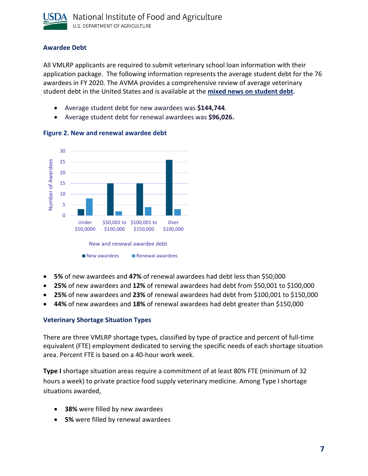

## <span id="page-6-0"></span>**Awardee Debt**

All VMLRP applicants are required to submit veterinary school loan information with their application package. The following information represents the average student debt for the 76 awardees in FY 2020. The AVMA provides a comprehensive review of average veterinary student debt in the United States and is available at the **[mixed news on student debt.](https://www.avma.org/blog/mixed-news-student-debt)**

- Average student debt for new awardees was **\$144,744**.
- Average student debt for renewal awardees was **\$96,026.**



### **Figure 2. New and renewal awardee debt**

- **5%** of new awardees and **47%** of renewal awardees had debt less than \$50,000
- **25%** of new awardees and **12%** of renewal awardees had debt from \$50,001 to \$100,000
- **25%** of new awardees and **23%** of renewal awardees had debt from \$100,001 to \$150,000
- **44%** of new awardees and **18%** of renewal awardees had debt greater than \$150,000

## <span id="page-6-1"></span>**Veterinary Shortage Situation Types**

There are three VMLRP shortage types, classified by type of practice and percent of full-time equivalent (FTE) employment dedicated to serving the specific needs of each shortage situation area. Percent FTE is based on a 40-hour work week.

**Type I** shortage situation areas require a commitment of at least 80% FTE (minimum of 32 hours a week) to private practice food supply veterinary medicine. Among Type I shortage situations awarded,

- **38%** were filled by new awardees
- **5%** were filled by renewal awardees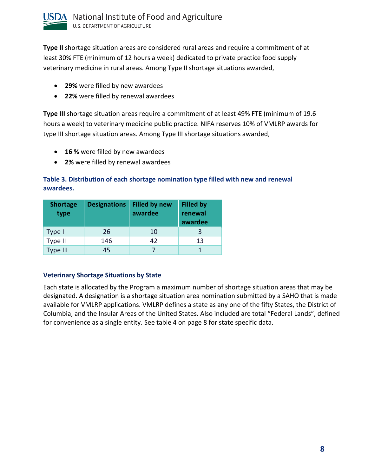

**Type II** shortage situation areas are considered rural areas and require a commitment of at least 30% FTE (minimum of 12 hours a week) dedicated to private practice food supply veterinary medicine in rural areas. Among Type II shortage situations awarded,

- **29%** were filled by new awardees
- **22%** were filled by renewal awardees

**Type III** shortage situation areas require a commitment of at least 49% FTE (minimum of 19.6 hours a week) to veterinary medicine public practice. NIFA reserves 10% of VMLRP awards for type III shortage situation areas. Among Type III shortage situations awarded,

- **16 %** were filled by new awardees
- **2%** were filled by renewal awardees

## **Table 3. Distribution of each shortage nomination type filled with new and renewal awardees.**

| <b>Shortage</b><br>type | <b>Designations</b> | <b>Filled by new</b><br>awardee | <b>Filled by</b><br>renewal<br>awardee |
|-------------------------|---------------------|---------------------------------|----------------------------------------|
| Type I                  | 26                  | 10                              |                                        |
| Type II                 | 146                 | 42                              | 13                                     |
| <b>Type III</b>         | 45                  |                                 |                                        |

## <span id="page-7-0"></span>**Veterinary Shortage Situations by State**

Each state is allocated by the Program a maximum number of shortage situation areas that may be designated. A designation is a shortage situation area nomination submitted by a SAHO that is made available for VMLRP applications. VMLRP defines a state as any one of the fifty States, the District of Columbia, and the Insular Areas of the United States. Also included are total "Federal Lands", defined for convenience as a single entity. See table 4 on page 8 for state specific data.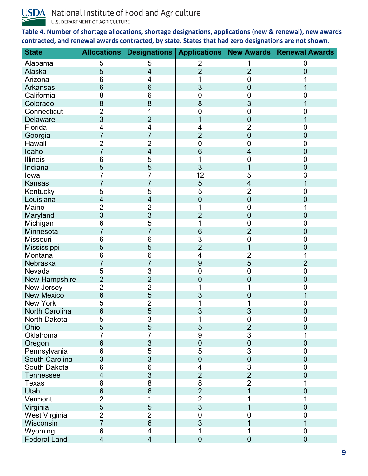

**USDA** National Institute of Food and Agriculture U.S. DEPARTMENT OF AGRICULTURE

**Table 4. Number of shortage allocations, shortage designations, applications (new & renewal), new awards contracted, and renewal awards contracted, by state. States that had zero designations are not shown.**

| <b>State</b>          |                         |                         |                          |                | Allocations   Designations   Applications   New Awards   Renewal Awards |
|-----------------------|-------------------------|-------------------------|--------------------------|----------------|-------------------------------------------------------------------------|
| Alabama               | 5                       | 5                       | 2                        |                | 0                                                                       |
| Alaska                | 5                       | $\overline{\mathbf{4}}$ | $\overline{2}$           | $\overline{2}$ | 0                                                                       |
| Arizona               | 6                       | 4                       | 1                        | $\overline{0}$ |                                                                         |
| Arkansas              | 6                       | $\overline{6}$          | $\overline{3}$           | $\overline{0}$ |                                                                         |
| California            | 8                       | 6                       | 0                        | 0              |                                                                         |
| Colorado              | 8                       | 8                       | 8                        | 3              |                                                                         |
| Connecticut           | $\overline{2}$          |                         | 0                        | $\overline{0}$ |                                                                         |
| <b>Delaware</b>       | 3                       | $\overline{2}$          |                          | 0              |                                                                         |
| Florida               | $\overline{4}$          | 4                       | 4                        | $\overline{2}$ | 0                                                                       |
| Georgia               | $\overline{7}$          | $\overline{7}$          | $\overline{2}$           | $\overline{0}$ | 0                                                                       |
| Hawaii                | $\overline{2}$          | $\overline{2}$          | $\overline{0}$           | 0              | 0                                                                       |
| Idaho                 |                         | 4                       | 6                        | 4              | 0                                                                       |
| Illinois              | 6                       | $\overline{5}$          | 1                        | 0              | 0                                                                       |
| Indiana               | 5                       | $\overline{5}$          | $\overline{3}$           |                | 0                                                                       |
| lowa                  |                         |                         | $\overline{12}$          | 5              | 3                                                                       |
| Kansas                |                         |                         | 5                        | 4              |                                                                         |
| Kentucky              | 5                       | 5                       | $\overline{5}$           | $\overline{2}$ | 0                                                                       |
| Louisiana             | 4                       | 4                       | $\overline{0}$           | $\overline{0}$ | 0                                                                       |
| Maine                 | $\overline{2}$          | $\overline{2}$          |                          | 0              |                                                                         |
| Maryland              | 3                       | $\overline{3}$          | $\overline{2}$           | $\overline{0}$ | 0                                                                       |
| Michigan              | 6                       | $\overline{5}$          |                          | 0              | 0                                                                       |
| Minnesota             | $\overline{7}$          | $\overline{7}$          | 6                        | $\overline{2}$ | 0                                                                       |
| Missouri              | 6                       | $\overline{6}$          | 3                        | $\overline{0}$ | 0                                                                       |
| Mississippi           | 5                       | 5                       | $\overline{2}$           |                | 0                                                                       |
| Montana               | 6                       | 6                       | $\overline{\mathcal{A}}$ | $\overline{2}$ |                                                                         |
| Nebraska              | $\overline{7}$          | $\overline{7}$          | $\overline{9}$           | 5              | $\overline{2}$                                                          |
| Nevada                | 5                       | 3                       | 0                        | 0              | 0                                                                       |
| <b>New Hampshire</b>  | $\overline{2}$          | $\overline{2}$          | 0                        | 0              |                                                                         |
| New Jersey            | $\overline{2}$          | $\overline{2}$          |                          |                | ი                                                                       |
| <b>New Mexico</b>     | 6                       | $\overline{5}$          | 3                        | 0              |                                                                         |
| New York              | 5                       | $\overline{2}$          | 1                        |                | 0                                                                       |
| <b>North Carolina</b> | 6                       | $\overline{5}$          | $\overline{3}$           | 3              | 0                                                                       |
| North Dakota          | 5                       | $\overline{3}$          | $\overline{A}$           | $\pmb{0}$      | $\boldsymbol{0}$                                                        |
| Ohio                  | $\overline{5}$          | $\overline{5}$          | $\overline{5}$           | $\overline{2}$ | $\overline{0}$                                                          |
| Oklahoma              | 7                       | 7                       | 9                        | 3              |                                                                         |
| Oregon                | 6                       | $\overline{3}$          | $\overline{0}$           | $\overline{0}$ | 0                                                                       |
| <b>Pennsylvania</b>   | 6                       | $\overline{5}$          | $\overline{5}$           | $\overline{3}$ | 0                                                                       |
| South Carolina        | 3                       | $\overline{3}$          | $\overline{0}$           | $\overline{0}$ | 0                                                                       |
| South Dakota          | 6                       | 6                       | 4                        | 3              | $\overline{0}$                                                          |
| <b>Tennessee</b>      | $\overline{4}$          | $\overline{3}$          | $\overline{2}$           | $\overline{2}$ | 0                                                                       |
| T <u>exas</u>         | 8                       | $\overline{8}$          | $\overline{8}$           | $\overline{2}$ |                                                                         |
| Utah                  | $\overline{6}$          | 6                       | $\overline{2}$           |                |                                                                         |
| Vermont               | $\overline{2}$          | 1                       | $\overline{2}$           |                |                                                                         |
| Virginia              | $\overline{5}$          | $\overline{5}$          | $\overline{3}$           |                | 0                                                                       |
| <b>West Virginia</b>  | $\overline{2}$          | $\overline{2}$          | $\overline{0}$           | 0              | 0                                                                       |
| Wisconsin             | $\overline{7}$          | 6                       | $\overline{3}$           |                |                                                                         |
| Wyoming               | $6\phantom{1}6$         | 4                       | 1                        |                | 0                                                                       |
| <b>Federal Land</b>   | $\overline{\mathbf{4}}$ | $\overline{\mathbf{4}}$ | $\overline{0}$           | $\overline{0}$ | $\overline{0}$                                                          |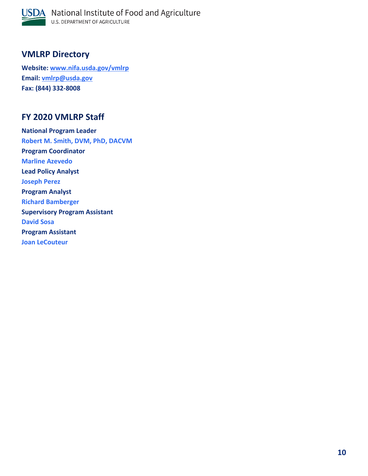

# <span id="page-9-0"></span>**VMLRP Directory**

**Website: [www.nifa.usda.gov/vmlrp](http://www.nifa.usda.gov/vmlrp) Email: [vmlrp@usda.gov](mailto:vmlrp@usda.gov) Fax: (844) 332-8008**

# <span id="page-9-1"></span>**FY 2020 VMLRP Staff**

**National Program Leader Robert M. Smith, DVM, PhD, DACVM Program Coordinator Marline Azevedo Lead Policy Analyst Joseph Perez Program Analyst Richard Bamberger Supervisory Program Assistant David Sosa Program Assistant Joan LeCouteur**